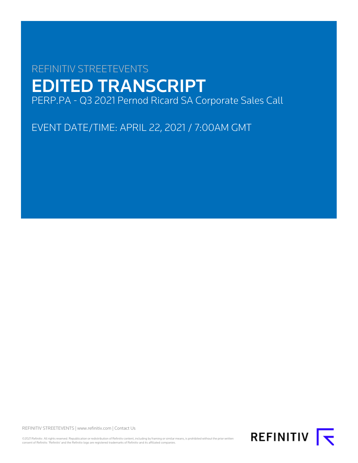# REFINITIV STREETEVENTS EDITED TRANSCRIPT PERP.PA - Q3 2021 Pernod Ricard SA Corporate Sales Call

EVENT DATE/TIME: APRIL 22, 2021 / 7:00AM GMT

REFINITIV STREETEVENTS | [www.refinitiv.com](https://www.refinitiv.com/) | [Contact Us](https://www.refinitiv.com/en/contact-us)

©2021 Refinitiv. All rights reserved. Republication or redistribution of Refinitiv content, including by framing or similar means, is prohibited without the prior written consent of Refinitiv. 'Refinitiv' and the Refinitiv logo are registered trademarks of Refinitiv and its affiliated companies.

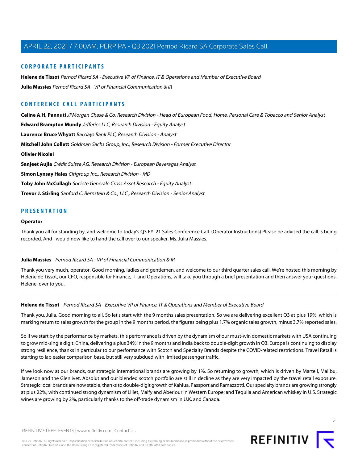#### **CORPORATE PARTICIPANTS**

**[Helene de Tissot](#page-1-0)** Pernod Ricard SA - Executive VP of Finance, IT & Operations and Member of Executive Board **[Julia Massies](#page-1-1)** Pernod Ricard SA - VP of Financial Communication & IR

### **CONFERENCE CALL PARTICIPANTS**

**[Celine A.H. Pannuti](#page-5-0)** JPMorgan Chase & Co, Research Division - Head of European Food, Home, Personal Care & Tobacco and Senior Analyst **[Edward Brampton Mundy](#page-3-0)** Jefferies LLC, Research Division - Equity Analyst **[Laurence Bruce Whyatt](#page-6-0)** Barclays Bank PLC, Research Division - Analyst **[Mitchell John Collett](#page-8-0)** Goldman Sachs Group, Inc., Research Division - Former Executive Director **[Olivier Nicolai](#page-7-0) [Sanjeet Aujla](#page-5-1)** Crédit Suisse AG, Research Division - European Beverages Analyst **[Simon Lynsay Hales](#page-3-1)** Citigroup Inc., Research Division - MD **[Toby John McCullagh](#page-9-0)** Societe Generale Cross Asset Research - Equity Analyst **[Trevor J. Stirling](#page-8-1)** Sanford C. Bernstein & Co., LLC., Research Division - Senior Analyst

#### **PRESENTATION**

#### **Operator**

<span id="page-1-1"></span>Thank you all for standing by, and welcome to today's Q3 FY '21 Sales Conference Call. (Operator Instructions) Please be advised the call is being recorded. And I would now like to hand the call over to our speaker, Ms. Julia Massies.

#### **Julia Massies** - Pernod Ricard SA - VP of Financial Communication & IR

<span id="page-1-0"></span>Thank you very much, operator. Good morning, ladies and gentlemen, and welcome to our third quarter sales call. We're hosted this morning by Helene de Tissot, our CFO, responsible for Finance, IT and Operations, will take you through a brief presentation and then answer your questions. Helene, over to you.

#### **Helene de Tissot** - Pernod Ricard SA - Executive VP of Finance, IT & Operations and Member of Executive Board

Thank you, Julia. Good morning to all. So let's start with the 9 months sales presentation. So we are delivering excellent Q3 at plus 19%, which is marking return to sales growth for the group in the 9 months period, the figures being plus 1.7% organic sales growth, minus 3.7% reported sales.

So if we start by the performance by markets, this performance is driven by the dynamism of our must-win domestic markets with USA continuing to grow mid-single digit. China, delivering a plus 34% in the 9 months and India back to double-digit growth in Q3. Europe is continuing to display strong resilience, thanks in particular to our performance with Scotch and Specialty Brands despite the COVID-related restrictions. Travel Retail is starting to lap easier comparison base, but still very subdued with limited passenger traffic.

If we look now at our brands, our strategic international brands are growing by 1%. So returning to growth, which is driven by Martell, Malibu, Jameson and the Glenlivet. Absolut and our blended scotch portfolio are still in decline as they are very impacted by the travel retail exposure. Strategic local brands are now stable, thanks to double-digit growth of Kahlua, Passport and Ramazzotti. Our specialty brands are growing strongly at plus 22%, with continued strong dynamism of Lillet, Malfy and Aberlour in Western Europe; and Tequila and American whiskey in U.S. Strategic wines are growing by 2%, particularly thanks to the off-trade dynamism in U.K. and Canada.

©2021 Refinitiv. All rights reserved. Republication or redistribution of Refinitiv content, including by framing or similar means, is prohibited without the prior written consent of Refinitiv. 'Refinitiv' and the Refinitiv logo are registered trademarks of Refinitiv and its affiliated companies.

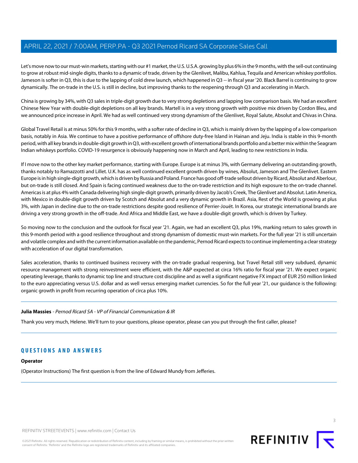Let's move now to our must-win markets, starting with our #1 market, the U.S. U.S.A. growing by plus 6% in the 9 months, with the sell-out continuing to grow at robust mid-single digits, thanks to a dynamic of trade, driven by the Glenlivet, Malibu, Kahlua, Tequila and American whiskey portfolios. Jameson is softer in Q3, this is due to the lapping of cold drew launch, which happened in Q3 -- in fiscal year '20. Black Barrel is continuing to grow dynamically. The on-trade in the U.S. is still in decline, but improving thanks to the reopening through Q3 and accelerating in March.

China is growing by 34%, with Q3 sales in triple-digit growth due to very strong depletions and lapping low comparison basis. We had an excellent Chinese New Year with double-digit depletions on all key brands. Martell is in a very strong growth with positive mix driven by Cordon Bleu, and we announced price increase in April. We had as well continued very strong dynamism of the Glenlivet, Royal Salute, Absolut and Chivas in China.

Global Travel Retail is at minus 50% for this 9 months, with a softer rate of decline in Q3, which is mainly driven by the lapping of a low comparison basis, notably in Asia. We continue to have a positive performance of offshore duty-free Island in Hainan and Jeju. India is stable in this 9-month period, with all key brands in double-digit growth in Q3, with excellent growth of international brands portfolio and a better mix within the Seagram Indian whiskeys portfolio. COVID-19 resurgence is obviously happening now in March and April, leading to new restrictions in India.

If I move now to the other key market performance, starting with Europe. Europe is at minus 3%, with Germany delivering an outstanding growth, thanks notably to Ramazzotti and Lillet. U.K. has as well continued excellent growth driven by wines, Absolut, Jameson and The Glenlivet. Eastern Europe is in high single-digit growth, which is driven by Russia and Poland. France has good off-trade sellout driven by Ricard, Absolut and Aberlour, but on-trade is still closed. And Spain is facing continued weakness due to the on-trade restriction and its high exposure to the on-trade channel. Americas is at plus 4% with Canada delivering high single-digit growth, primarily driven by Jacob's Creek, The Glenlivet and Absolut. Latin America, with Mexico in double-digit growth driven by Scotch and Absolut and a very dynamic growth in Brazil. Asia, Rest of the World is growing at plus 3%, with Japan in decline due to the on-trade restrictions despite good resilience of Perrier-Jouët. In Korea, our strategic international brands are driving a very strong growth in the off-trade. And Africa and Middle East, we have a double-digit growth, which is driven by Turkey.

So moving now to the conclusion and the outlook for fiscal year '21. Again, we had an excellent Q3, plus 19%, marking return to sales growth in this 9-month period with a good resilience throughout and strong dynamism of domestic must-win markets. For the full year '21 is still uncertain and volatile complex and with the current information available on the pandemic, Pernod Ricard expects to continue implementing a clear strategy with acceleration of our digital transformation.

Sales acceleration, thanks to continued business recovery with the on-trade gradual reopening, but Travel Retail still very subdued, dynamic resource management with strong reinvestment were efficient, with the A&P expected at circa 16% ratio for fiscal year '21. We expect organic operating leverage, thanks to dynamic top line and structure cost discipline and as well a significant negative FX impact of EUR 250 million linked to the euro appreciating versus U.S. dollar and as well versus emerging market currencies. So for the full year '21, our guidance is the following: organic growth in profit from recurring operation of circa plus 10%.

#### **Julia Massies** - Pernod Ricard SA - VP of Financial Communication & IR

Thank you very much, Helene. We'll turn to your questions, please operator, please can you put through the first caller, please?

#### **QUESTIONS AND ANSWERS**

#### **Operator**

(Operator Instructions) The first question is from the line of Edward Mundy from Jefferies.



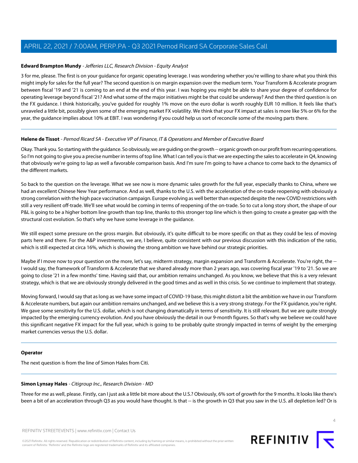#### <span id="page-3-0"></span>**Edward Brampton Mundy** - Jefferies LLC, Research Division - Equity Analyst

3 for me, please. The first is on your guidance for organic operating leverage. I was wondering whether you're willing to share what you think this might imply for sales for the full year? The second question is on margin expansion over the medium term. Your Transform & Accelerate program between fiscal '19 and '21 is coming to an end at the end of this year. I was hoping you might be able to share your degree of confidence for operating leverage beyond fiscal '21? And what some of the major initiatives might be that could be underway? And then the third question is on the FX guidance. I think historically, you've guided for roughly 1% move on the euro dollar is worth roughly EUR 10 million. It feels like that's unraveled a little bit, possibly given some of the emerging market FX volatility. We think that your FX impact at sales is more like 5% or 6% for the year, the guidance implies about 10% at EBIT. I was wondering if you could help us sort of reconcile some of the moving parts there.

#### **Helene de Tissot** - Pernod Ricard SA - Executive VP of Finance, IT & Operations and Member of Executive Board

Okay. Thank you. So starting with the guidance. So obviously, we are guiding on the growth -- organic growth on our profit from recurring operations. So I'm not going to give you a precise number in terms of top line. What I can tell you is that we are expecting the sales to accelerate in Q4, knowing that obviously we're going to lap as well a favorable comparison basis. And I'm sure I'm going to have a chance to come back to the dynamics of the different markets.

So back to the question on the leverage. What we see now is more dynamic sales growth for the full year, especially thanks to China, where we had an excellent Chinese New Year performance. And as well, thanks to the U.S. with the acceleration of the on-trade reopening with obviously a strong correlation with the high pace vaccination campaign. Europe evolving as well better than expected despite the new COVID restrictions with still a very resilient off-trade. We'll see what would be coming in terms of reopening of the on-trade. So to cut a long story short, the shape of our P&L is going to be a higher bottom line growth than top line, thanks to this stronger top line which is then going to create a greater gap with the structural cost evolution. So that's why we have some leverage in the guidance.

We still expect some pressure on the gross margin. But obviously, it's quite difficult to be more specific on that as they could be less of moving parts here and there. For the A&P investments, we are, I believe, quite consistent with our previous discussion with this indication of the ratio, which is still expected at circa 16%, which is showing the strong ambition we have behind our strategic priorities.

Maybe if I move now to your question on the more, let's say, midterm strategy, margin expansion and Transform & Accelerate. You're right, the --I would say, the framework of Transform & Accelerate that we shared already more than 2 years ago, was covering fiscal year '19 to '21. So we are going to close '21 in a few months' time. Having said that, our ambition remains unchanged. As you know, we believe that this is a very relevant strategy, which is that we are obviously strongly delivered in the good times and as well in this crisis. So we continue to implement that strategy.

Moving forward, I would say that as long as we have some impact of COVID-19 base, this might distort a bit the ambition we have in our Transform & Accelerate numbers, but again our ambition remains unchanged, and we believe this is a very strong strategy. For the FX guidance, you're right. We gave some sensitivity for the U.S. dollar, which is not changing dramatically in terms of sensitivity. It is still relevant. But we are quite strongly impacted by the emerging currency evolution. And you have obviously the detail in our 9-month figures. So that's why we believe we could have this significant negative FX impact for the full year, which is going to be probably quite strongly impacted in terms of weight by the emerging market currencies versus the U.S. dollar.

#### <span id="page-3-1"></span>**Operator**

The next question is from the line of Simon Hales from Citi.

#### **Simon Lynsay Hales** - Citigroup Inc., Research Division - MD

Three for me as well, please. Firstly, can I just ask a little bit more about the U.S.? Obviously, 6% sort of growth for the 9 months. It looks like there's been a bit of an acceleration through Q3 as you would have thought. Is that -- is the growth in Q3 that you saw in the U.S. all depletion led? Or is

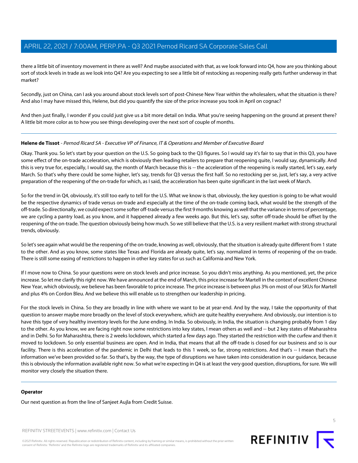there a little bit of inventory movement in there as well? And maybe associated with that, as we look forward into Q4, how are you thinking about sort of stock levels in trade as we look into Q4? Are you expecting to see a little bit of restocking as reopening really gets further underway in that market?

Secondly, just on China, can I ask you around about stock levels sort of post-Chinese New Year within the wholesalers, what the situation is there? And also I may have missed this, Helene, but did you quantify the size of the price increase you took in April on cognac?

And then just finally, I wonder if you could just give us a bit more detail on India. What you're seeing happening on the ground at present there? A little bit more color as to how you see things developing over the next sort of couple of months.

#### **Helene de Tissot** - Pernod Ricard SA - Executive VP of Finance, IT & Operations and Member of Executive Board

Okay. Thank you. So let's start by your question on the U.S. So going back to the Q3 figures. So I would say it's fair to say that in this Q3, you have some effect of the on-trade acceleration, which is obviously then leading retailers to prepare that reopening quite, I would say, dynamically. And this is very true for, especially, I would say, the month of March because this is -- the acceleration of the reopening is really started, let's say, early March. So that's why there could be some higher, let's say, trends for Q3 versus the first half. So no restocking per se, just, let's say, a very active preparation of the reopening of the on-trade for which, as I said, the acceleration has been quite significant in the last week of March.

So for the trend in Q4, obviously, it's still too early to tell for the U.S. What we know is that, obviously, the key question is going to be what would be the respective dynamics of trade versus on-trade and especially at the time of the on-trade coming back, what would be the strength of the off-trade. So directionally, we could expect some softer off-trade versus the first 9 months knowing as well that the variance in terms of percentage, we are cycling a pantry load, as you know, and it happened already a few weeks ago. But this, let's say, softer off-trade should be offset by the reopening of the on-trade. The question obviously being how much. So we still believe that the U.S. is a very resilient market with strong structural trends, obviously.

So let's see again what would be the reopening of the on-trade, knowing as well, obviously, that the situation is already quite different from 1 state to the other. And as you know, some states like Texas and Florida are already quite, let's say, normalized in terms of reopening of the on-trade. There is still some easing of restrictions to happen in other key states for us such as California and New York.

If I move now to China. So your questions were on stock levels and price increase. So you didn't miss anything. As you mentioned, yet, the price increase. So let me clarify this right now. We have announced at the end of March, this price increase for Martell in the context of excellent Chinese New Year, which obviously, we believe has been favorable to price increase. The price increase is between plus 3% on most of our SKUs for Martell and plus 4% on Cordon Bleu. And we believe this will enable us to strengthen our leadership in pricing.

For the stock levels in China. So they are broadly in line with where we want to be at year-end. And by the way, I take the opportunity of that question to answer maybe more broadly on the level of stock everywhere, which are quite healthy everywhere. And obviously, our intention is to have this type of very healthy inventory levels for the June ending. In India. So obviously, in India, the situation is changing probably from 1 day to the other. As you know, we are facing right now some restrictions into key states, I mean others as well and -- but 2 key states of Maharashtra and in Delhi. So for Maharashtra, there is 2 weeks lockdown, which started a few days ago. They started the restriction with the curfew and then it moved to lockdown. So only essential business are open. And in India, that means that all the off-trade is closed for our business and so is our facility. There is this acceleration of the pandemic in Delhi that leads to this 1 week, so far, strong restrictions. And that's -- I mean that's the information we've been provided so far. So that's, by the way, the type of disruptions we have taken into consideration in our guidance, because this is obviously the information available right now. So what we're expecting in Q4 is at least the very good question, disruptions, for sure. We will monitor very closely the situation there.

#### **Operator**

Our next question as from the line of Sanjeet Aujla from Credit Suisse.

REFINITIV STREETEVENTS | [www.refinitiv.com](https://www.refinitiv.com/) | [Contact Us](https://www.refinitiv.com/en/contact-us)

©2021 Refinitiv. All rights reserved. Republication or redistribution of Refinitiv content, including by framing or similar means, is prohibited without the prior written consent of Refinitiv. 'Refinitiv' and the Refinitiv logo are registered trademarks of Refinitiv and its affiliated companies.



5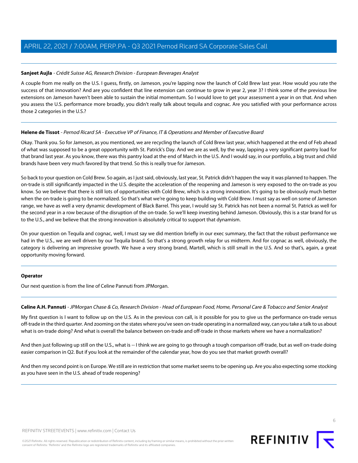#### <span id="page-5-1"></span>**Sanjeet Aujla** - Crédit Suisse AG, Research Division - European Beverages Analyst

A couple from me really on the U.S. I guess, firstly, on Jameson, you're lapping now the launch of Cold Brew last year. How would you rate the success of that innovation? And are you confident that line extension can continue to grow in year 2, year 3? I think some of the previous line extensions on Jameson haven't been able to sustain the initial momentum. So I would love to get your assessment a year in on that. And when you assess the U.S. performance more broadly, you didn't really talk about tequila and cognac. Are you satisfied with your performance across those 2 categories in the U.S.?

#### **Helene de Tissot** - Pernod Ricard SA - Executive VP of Finance, IT & Operations and Member of Executive Board

Okay. Thank you. So for Jameson, as you mentioned, we are recycling the launch of Cold Brew last year, which happened at the end of Feb ahead of what was supposed to be a great opportunity with St. Patrick's Day. And we are as well, by the way, lapping a very significant pantry load for that brand last year. As you know, there was this pantry load at the end of March in the U.S. And I would say, in our portfolio, a big trust and child brands have been very much favored by that trend. So this is really true for Jameson.

So back to your question on Cold Brew. So again, as I just said, obviously, last year, St. Patrick didn't happen the way it was planned to happen. The on-trade is still significantly impacted in the U.S. despite the acceleration of the reopening and Jameson is very exposed to the on-trade as you know. So we believe that there is still lots of opportunities with Cold Brew, which is a strong innovation. It's going to be obviously much better when the on-trade is going to be normalized. So that's what we're going to keep building with Cold Brew. I must say as well on some of Jameson range, we have as well a very dynamic development of Black Barrel. This year, I would say St. Patrick has not been a normal St. Patrick as well for the second year in a row because of the disruption of the on-trade. So we'll keep investing behind Jameson. Obviously, this is a star brand for us to the U.S., and we believe that the strong innovation is absolutely critical to support that dynamism.

On your question on Tequila and cognac, well, I must say we did mention briefly in our exec summary, the fact that the robust performance we had in the U.S., we are well driven by our Tequila brand. So that's a strong growth relay for us midterm. And for cognac as well, obviously, the category is delivering an impressive growth. We have a very strong brand, Martell, which is still small in the U.S. And so that's, again, a great opportunity moving forward.

#### <span id="page-5-0"></span>**Operator**

Our next question is from the line of Celine Pannuti from JPMorgan.

#### **Celine A.H. Pannuti** - JPMorgan Chase & Co, Research Division - Head of European Food, Home, Personal Care & Tobacco and Senior Analyst

My first question is I want to follow up on the U.S. As in the previous con call, is it possible for you to give us the performance on-trade versus off-trade in the third quarter. And zooming on the states where you've seen on-trade operating in a normalized way, can you take a talk to us about what is on-trade doing? And what is overall the balance between on-trade and off-trade in those markets where we have a normalization?

And then just following up still on the U.S., what is -- I think we are going to go through a tough comparison off-trade, but as well on-trade doing easier comparison in Q2. But if you look at the remainder of the calendar year, how do you see that market growth overall?

And then my second point is on Europe. We still are in restriction that some market seems to be opening up. Are you also expecting some stocking as you have seen in the U.S. ahead of trade reopening?



©2021 Refinitiv. All rights reserved. Republication or redistribution of Refinitiv content, including by framing or similar means, is prohibited without the prior written consent of Refinitiv. 'Refinitiv' and the Refinitiv logo are registered trademarks of Refinitiv and its affiliated companies.

6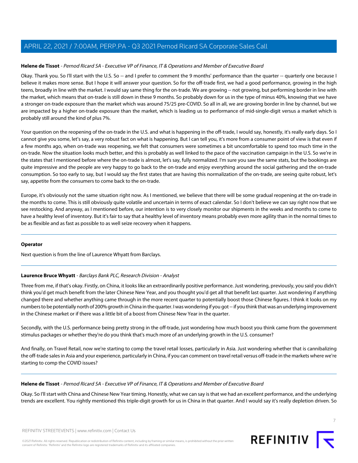#### **Helene de Tissot** - Pernod Ricard SA - Executive VP of Finance, IT & Operations and Member of Executive Board

Okay. Thank you. So I'll start with the U.S. So -- and I prefer to comment the 9 months' performance than the quarter -- quarterly one because I believe it makes more sense. But I hope it will answer your question. So for the off-trade first, we had a good performance, growing in the high teens, broadly in line with the market. I would say same thing for the on-trade. We are growing -- not growing, but performing border in line with the market, which means that on-trade is still down in these 9 months. So probably down for us in the type of minus 40%, knowing that we have a stronger on-trade exposure than the market which was around 75/25 pre-COVID. So all in all, we are growing border in line by channel, but we are impacted by a higher on-trade exposure than the market, which is leading us to performance of mid-single-digit versus a market which is probably still around the kind of plus 7%.

Your question on the reopening of the on-trade in the U.S. and what is happening in the off-trade, I would say, honestly, it's really early days. So I cannot give you some, let's say, a very robust fact on what is happening. But I can tell you, it's more from a consumer point of view is that even if a few months ago, when on-trade was reopening, we felt that consumers were sometimes a bit uncomfortable to spend too much time in the on-trade. Now the situation looks much better, and this is probably as well linked to the pace of the vaccination campaign in the U.S. So we're in the states that I mentioned before where the on-trade is almost, let's say, fully normalized. I'm sure you saw the same stats, but the bookings are quite impressive and the people are very happy to go back to the on-trade and enjoy everything around the social gathering and the on-trade consumption. So too early to say, but I would say the first states that are having this normalization of the on-trade, are seeing quite robust, let's say, appetite from the consumers to come back to the on-trade.

Europe, it's obviously not the same situation right now. As I mentioned, we believe that there will be some gradual reopening at the on-trade in the months to come. This is still obviously quite volatile and uncertain in terms of exact calendar. So I don't believe we can say right now that we see restocking. And anyway, as I mentioned before, our intention is to very closely monitor our shipments in the weeks and months to come to have a healthy level of inventory. But it's fair to say that a healthy level of inventory means probably even more agility than in the normal times to be as flexible and as fast as possible to as well seize recovery when it happens.

#### <span id="page-6-0"></span>**Operator**

Next question is from the line of Laurence Whyatt from Barclays.

#### **Laurence Bruce Whyatt** - Barclays Bank PLC, Research Division - Analyst

Three from me, if that's okay. Firstly, on China, it looks like an extraordinarily positive performance. Just wondering, previously, you said you didn't think you'd get much benefit from the later Chinese New Year, and you thought you'd get all that benefit last quarter. Just wondering if anything changed there and whether anything came through in the more recent quarter to potentially boost those Chinese figures. I think it looks on my numbers to be potentially north of 200% growth in China in the quarter. I was wondering if you got -- if you think that was an underlying improvement in the Chinese market or if there was a little bit of a boost from Chinese New Year in the quarter.

Secondly, with the U.S. performance being pretty strong in the off-trade, just wondering how much boost you think came from the government stimulus packages or whether they're do you think that's much more of an underlying growth in the U.S. consumer?

And finally, on Travel Retail, now we're starting to comp the travel retail losses, particularly in Asia. Just wondering whether that is cannibalizing the off-trade sales in Asia and your experience, particularly in China, if you can comment on travel retail versus off-trade in the markets where we're starting to comp the COVID issues?

#### **Helene de Tissot** - Pernod Ricard SA - Executive VP of Finance, IT & Operations and Member of Executive Board

Okay. So I'll start with China and Chinese New Year timing. Honestly, what we can say is that we had an excellent performance, and the underlying trends are excellent. You rightly mentioned this triple-digit growth for us in China in that quarter. And I would say it's really depletion driven. So

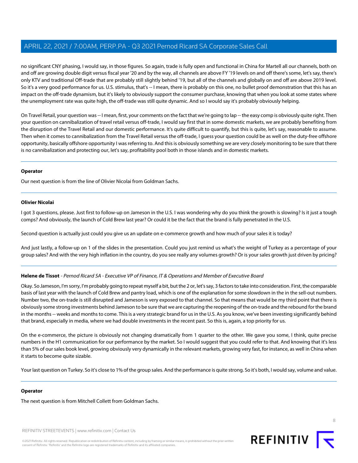no significant CNY phasing, I would say, in those figures. So again, trade is fully open and functional in China for Martell all our channels, both on and off are growing double digit versus fiscal year '20 and by the way, all channels are above FY '19 levels on and off there's some, let's say, there's only KTV and traditional Off-trade that are probably still slightly behind '19, but all of the channels and globally on and off are above 2019 level. So it's a very good performance for us. U.S. stimulus, that's -- I mean, there is probably on this one, no bullet proof demonstration that this has an impact on the off-trade dynamism, but it's likely to obviously support the consumer purchase, knowing that when you look at some states where the unemployment rate was quite high, the off-trade was still quite dynamic. And so I would say it's probably obviously helping.

On Travel Retail, your question was -- I mean, first, your comments on the fact that we're going to lap -- the easy comp is obviously quite right. Then your question on cannibalization of travel retail versus off-trade, I would say first that in some domestic markets, we are probably benefiting from the disruption of the Travel Retail and our domestic performance. It's quite difficult to quantify, but this is quite, let's say, reasonable to assume. Then when it comes to cannibalization from the Travel Retail versus the off-trade, I guess your question could be as well on the duty-free offshore opportunity, basically offshore opportunity I was referring to. And this is obviously something we are very closely monitoring to be sure that there is no cannibalization and protecting our, let's say, profitability pool both in those islands and in domestic markets.

#### **Operator**

<span id="page-7-0"></span>Our next question is from the line of Olivier Nicolai from Goldman Sachs.

#### **Olivier Nicolai**

I got 3 questions, please. Just first to follow-up on Jameson in the U.S. I was wondering why do you think the growth is slowing? Is it just a tough comps? And obviously, the launch of Cold Brew last year? Or could it be the fact that the brand is fully penetrated in the U.S.

Second question is actually just could you give us an update on e-commerce growth and how much of your sales it is today?

And just lastly, a follow-up on 1 of the slides in the presentation. Could you just remind us what's the weight of Turkey as a percentage of your group sales? And with the very high inflation in the country, do you see really any volumes growth? Or is your sales growth just driven by pricing?

#### **Helene de Tissot** - Pernod Ricard SA - Executive VP of Finance, IT & Operations and Member of Executive Board

Okay. So Jameson, I'm sorry, I'm probably going to repeat myself a bit, but the 2 or, let's say, 3 factors to take into consideration. First, the comparable basis of last year with the launch of Cold Brew and pantry load, which is one of the explanation for some slowdown in the in the sell-out numbers. Number two, the on-trade is still disrupted and Jameson is very exposed to that channel. So that means that would be my third point that there is obviously some strong investments behind Jameson to be sure that we are capturing the reopening of the on-trade and the rebound for the brand in the months -- weeks and months to come. This is a very strategic brand for us in the U.S. As you know, we've been investing significantly behind that brand, especially in media, where we had double investments in the recent past. So this is, again, a top priority for us.

On the e-commerce, the picture is obviously not changing dramatically from 1 quarter to the other. We gave you some, I think, quite precise numbers in the H1 communication for our performance by the market. So I would suggest that you could refer to that. And knowing that it's less than 5% of our sales book level, growing obviously very dynamically in the relevant markets, growing very fast, for instance, as well in China when it starts to become quite sizable.

Your last question on Turkey. So it's close to 1% of the group sales. And the performance is quite strong. So it's both, I would say, volume and value.

#### **Operator**

The next question is from Mitchell Collett from Goldman Sachs.

REFINITIV STREETEVENTS | [www.refinitiv.com](https://www.refinitiv.com/) | [Contact Us](https://www.refinitiv.com/en/contact-us)

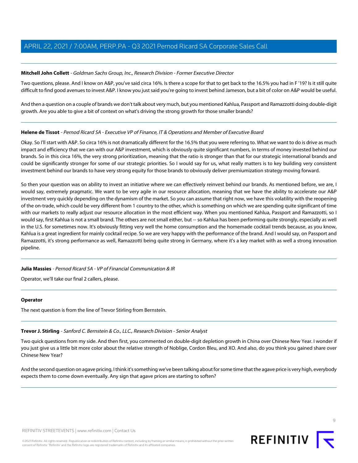#### <span id="page-8-0"></span>**Mitchell John Collett** - Goldman Sachs Group, Inc., Research Division - Former Executive Director

Two questions, please. And I know on A&P, you've said circa 16%. Is there a scope for that to get back to the 16.5% you had in F '19? Is it still quite difficult to find good avenues to invest A&P. I know you just said you're going to invest behind Jameson, but a bit of color on A&P would be useful.

And then a question on a couple of brands we don't talk about very much, but you mentioned Kahlua, Passport and Ramazzotti doing double-digit growth. Are you able to give a bit of context on what's driving the strong growth for those smaller brands?

#### **Helene de Tissot** - Pernod Ricard SA - Executive VP of Finance, IT & Operations and Member of Executive Board

Okay. So I'll start with A&P. So circa 16% is not dramatically different for the 16.5% that you were referring to. What we want to do is drive as much impact and efficiency that we can with our A&P investment, which is obviously quite significant numbers, in terms of money invested behind our brands. So in this circa 16%, the very strong prioritization, meaning that the ratio is stronger than that for our strategic international brands and could be significantly stronger for some of our strategic priorities. So I would say for us, what really matters is to key building very consistent investment behind our brands to have very strong equity for those brands to obviously deliver premiumization strategy moving forward.

So then your question was on ability to invest an initiative where we can effectively reinvest behind our brands. As mentioned before, we are, I would say, extremely pragmatic. We want to be very agile in our resource allocation, meaning that we have the ability to accelerate our A&P investment very quickly depending on the dynamism of the market. So you can assume that right now, we have this volatility with the reopening of the on-trade, which could be very different from 1 country to the other, which is something on which we are spending quite significant of time with our markets to really adjust our resource allocation in the most efficient way. When you mentioned Kahlua, Passport and Ramazzotti, so I would say, first Kahlua is not a small brand. The others are not small either, but -- so Kahlua has been performing quite strongly, especially as well in the U.S. for sometimes now. It's obviously fitting very well the home consumption and the homemade cocktail trends because, as you know, Kahlua is a great ingredient for mainly cocktail recipe. So we are very happy with the performance of the brand. And I would say, on Passport and Ramazzotti, it's strong performance as well, Ramazzotti being quite strong in Germany, where it's a key market with as well a strong innovation pipeline.

#### **Julia Massies** - Pernod Ricard SA - VP of Financial Communication & IR

Operator, we'll take our final 2 callers, please.

#### <span id="page-8-1"></span>**Operator**

The next question is from the line of Trevor Stirling from Bernstein.

#### **Trevor J. Stirling** - Sanford C. Bernstein & Co., LLC., Research Division - Senior Analyst

Two quick questions from my side. And then first, you commented on double-digit depletion growth in China over Chinese New Year. I wonder if you just give us a little bit more color about the relative strength of Noblige, Cordon Bleu, and XO. And also, do you think you gained share over Chinese New Year?

And the second question on agave pricing, I think it's something we've been talking about for some time that the agave price is very high, everybody expects them to come down eventually. Any sign that agave prices are starting to soften?

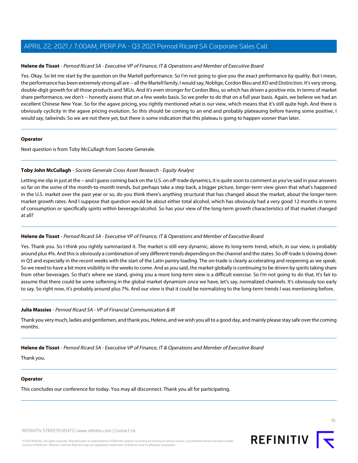#### **Helene de Tissot** - Pernod Ricard SA - Executive VP of Finance, IT & Operations and Member of Executive Board

Yes. Okay. So let me start by the question on the Martell performance. So I'm not going to give you the exact performance by quality. But I mean, the performance has been extremely strong all are -- all the Martell family, I would say, Noblige, Cordon Bleu and XO and Distinction. It's very strong, double-digit growth for all those products and SKUs. And it's even stronger for Cordon Bleu, so which has driven a positive mix. In terms of market share performance, we don't -- honestly assess that on a few weeks basis. So we prefer to do that on a full year basis. Again, we believe we had an excellent Chinese New Year. So for the agave pricing, you rightly mentioned what is our view, which means that it's still quite high. And there is obviously cyclicity in the agave pricing evolution. So this should be coming to an end and probably plateauing before having some positive, I would say, tailwinds. So we are not there yet, but there is some indication that this plateau is going to happen sooner than later.

#### **Operator**

<span id="page-9-0"></span>Next question is from Toby McCullagh from Societe Generale.

#### **Toby John McCullagh** - Societe Generale Cross Asset Research - Equity Analyst

Letting me slip in just at the -- and I guess coming back on the U.S. on off-trade dynamics, it is quite soon to comment as you've said in your answers so far on the some of the month-to-month trends, but perhaps take a step back, a bigger picture, longer-term view given that what's happened in the U.S. market over the past year or so, do you think there's anything structural that has changed about the market, about the longer-term market growth rates. And I suppose that question would be about either total alcohol, which has obviously had a very good 12 months in terms of consumption or specifically spirits within beverage/alcohol. So has your view of the long-term growth characteristics of that market changed at all?

#### **Helene de Tissot** - Pernod Ricard SA - Executive VP of Finance, IT & Operations and Member of Executive Board

Yes. Thank you. So I think you rightly summarized it. The market is still very dynamic, above its long-term trend, which, in our view, is probably around plus 4%. And this is obviously a combination of very different trends depending on the channel and the states. So off-trade is slowing down in Q3 and especially in the recent weeks with the start of the Latin pantry loading. The on-trade is clearly accelerating and reopening as we speak. So we need to have a bit more visibility in the weeks to come. And as you said, the market globally is continuing to be driven by spirits taking share from other beverages. So that's where we stand, giving you a more long-term view is a difficult exercise. So I'm not going to do that. It's fair to assume that there could be some softening in the global market dynamism once we have, let's say, normalized channels. It's obviously too early to say. So right now, it's probably around plus 7%. And our view is that it could be normalizing to the long-term trends I was mentioning before.

#### **Julia Massies** - Pernod Ricard SA - VP of Financial Communication & IR

Thank you very much, ladies and gentlemen, and thank you, Helene, and we wish you all to a good day, and mainly please stay safe over the coming months.

#### **Helene de Tissot** - Pernod Ricard SA - Executive VP of Finance, IT & Operations and Member of Executive Board

Thank you.

#### **Operator**

This concludes our conference for today. You may all disconnect. Thank you all for participating.

REFINITIV STREETEVENTS | [www.refinitiv.com](https://www.refinitiv.com/) | [Contact Us](https://www.refinitiv.com/en/contact-us)